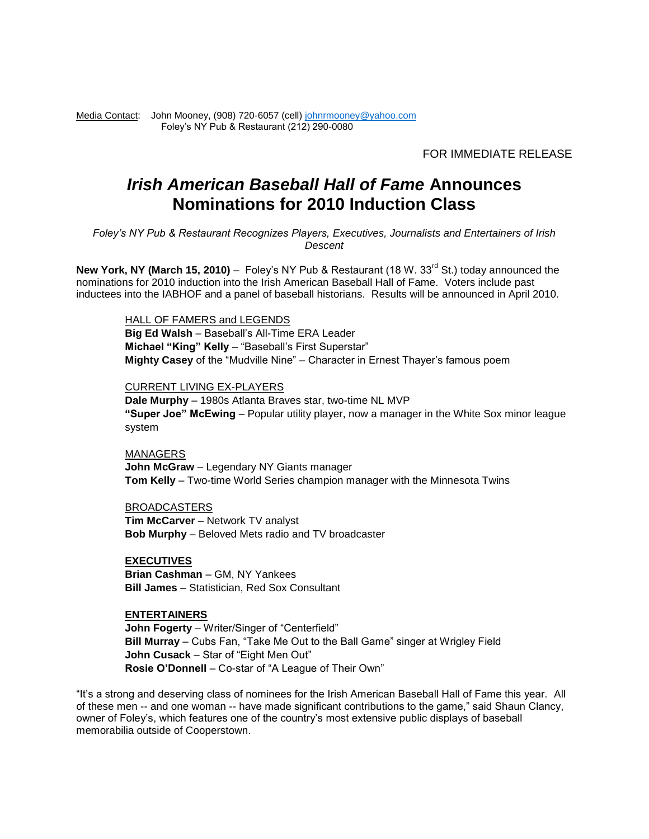Media Contact:John Mooney, (908) 720-6057 (cell[\) johnrmooney@yahoo.com](mailto:johnrmooney@yahoo.com) Foley's NY Pub & Restaurant (212) 290-0080

FOR IMMEDIATE RELEASE

# *Irish American Baseball Hall of Fame* **Announces Nominations for 2010 Induction Class**

*Foley's NY Pub & Restaurant Recognizes Players, Executives, Journalists and Entertainers of Irish Descent*

**New York, NY (March 15, 2010)** – Foley's NY Pub & Restaurant (18 W. 33<sup>rd</sup> St.) today announced the nominations for 2010 induction into the Irish American Baseball Hall of Fame. Voters include past inductees into the IABHOF and a panel of baseball historians. Results will be announced in April 2010.

HALL OF FAMERS and LEGENDS

**Big Ed Walsh** – Baseball's All-Time ERA Leader **Michael "King" Kelly** – "Baseball's First Superstar" **Mighty Casey** of the "Mudville Nine" – Character in Ernest Thayer's famous poem

#### CURRENT LIVING EX-PLAYERS

**Dale Murphy** – 1980s Atlanta Braves star, two-time NL MVP **"Super Joe" McEwing** – Popular utility player, now a manager in the White Sox minor league system

MANAGERS

**John McGraw** – Legendary NY Giants manager **Tom Kelly** – Two-time World Series champion manager with the Minnesota Twins

BROADCASTERS

**Tim McCarver** – Network TV analyst **Bob Murphy** – Beloved Mets radio and TV broadcaster

**EXECUTIVES Brian Cashman** – GM, NY Yankees **Bill James** – Statistician, Red Sox Consultant

### **ENTERTAINERS**

**John Fogerty** – Writer/Singer of "Centerfield" **Bill Murray** – Cubs Fan, "Take Me Out to the Ball Game" singer at Wrigley Field **John Cusack** – Star of "Eight Men Out" **Rosie O'Donnell** – Co-star of "A League of Their Own"

"It's a strong and deserving class of nominees for the Irish American Baseball Hall of Fame this year. All of these men -- and one woman -- have made significant contributions to the game," said Shaun Clancy, owner of Foley's, which features one of the country's most extensive public displays of baseball memorabilia outside of Cooperstown.